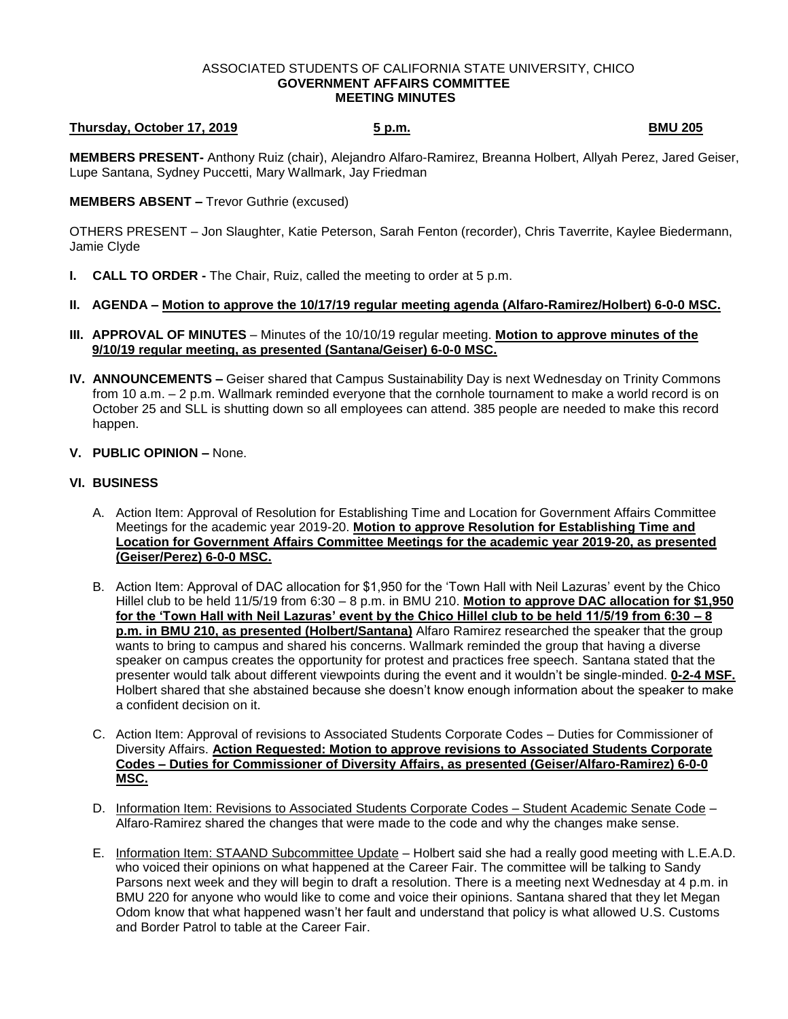### ASSOCIATED STUDENTS OF CALIFORNIA STATE UNIVERSITY, CHICO **GOVERNMENT AFFAIRS COMMITTEE MEETING MINUTES**

# **Thursday, October 17, 2019 5 p.m. BMU 205**

**MEMBERS PRESENT-** Anthony Ruiz (chair), Alejandro Alfaro-Ramirez, Breanna Holbert, Allyah Perez, Jared Geiser, Lupe Santana, Sydney Puccetti, Mary Wallmark, Jay Friedman

### **MEMBERS ABSENT –** Trevor Guthrie (excused)

OTHERS PRESENT – Jon Slaughter, Katie Peterson, Sarah Fenton (recorder), Chris Taverrite, Kaylee Biedermann, Jamie Clyde

- **I. CALL TO ORDER -** The Chair, Ruiz, called the meeting to order at 5 p.m.
- **II. AGENDA – Motion to approve the 10/17/19 regular meeting agenda (Alfaro-Ramirez/Holbert) 6-0-0 MSC.**
- **III. APPROVAL OF MINUTES** Minutes of the 10/10/19 regular meeting. **Motion to approve minutes of the 9/10/19 regular meeting, as presented (Santana/Geiser) 6-0-0 MSC.**
- **IV. ANNOUNCEMENTS –** Geiser shared that Campus Sustainability Day is next Wednesday on Trinity Commons from 10 a.m. – 2 p.m. Wallmark reminded everyone that the cornhole tournament to make a world record is on October 25 and SLL is shutting down so all employees can attend. 385 people are needed to make this record happen.
- **V. PUBLIC OPINION –** None.

## **VI. BUSINESS**

- A. Action Item: Approval of Resolution for Establishing Time and Location for Government Affairs Committee Meetings for the academic year 2019-20. **Motion to approve Resolution for Establishing Time and Location for Government Affairs Committee Meetings for the academic year 2019-20, as presented (Geiser/Perez) 6-0-0 MSC.**
- B. Action Item: Approval of DAC allocation for \$1,950 for the 'Town Hall with Neil Lazuras' event by the Chico Hillel club to be held 11/5/19 from 6:30 – 8 p.m. in BMU 210. **Motion to approve DAC allocation for \$1,950 for the 'Town Hall with Neil Lazuras' event by the Chico Hillel club to be held 11/5/19 from 6:30 – 8 p.m. in BMU 210, as presented (Holbert/Santana)** Alfaro Ramirez researched the speaker that the group wants to bring to campus and shared his concerns. Wallmark reminded the group that having a diverse speaker on campus creates the opportunity for protest and practices free speech. Santana stated that the presenter would talk about different viewpoints during the event and it wouldn't be single-minded. **0-2-4 MSF.** Holbert shared that she abstained because she doesn't know enough information about the speaker to make a confident decision on it.
- C. Action Item: Approval of revisions to Associated Students Corporate Codes Duties for Commissioner of Diversity Affairs. **Action Requested: Motion to approve revisions to Associated Students Corporate Codes – Duties for Commissioner of Diversity Affairs, as presented (Geiser/Alfaro-Ramirez) 6-0-0 MSC.**
- D. Information Item: Revisions to Associated Students Corporate Codes Student Academic Senate Code Alfaro-Ramirez shared the changes that were made to the code and why the changes make sense.
- E. Information Item: STAAND Subcommittee Update Holbert said she had a really good meeting with L.E.A.D. who voiced their opinions on what happened at the Career Fair. The committee will be talking to Sandy Parsons next week and they will begin to draft a resolution. There is a meeting next Wednesday at 4 p.m. in BMU 220 for anyone who would like to come and voice their opinions. Santana shared that they let Megan Odom know that what happened wasn't her fault and understand that policy is what allowed U.S. Customs and Border Patrol to table at the Career Fair.